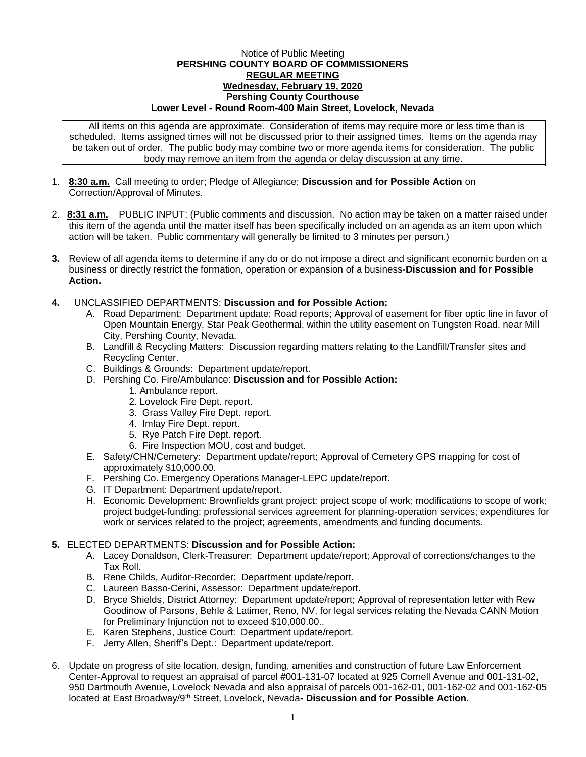## Notice of Public Meeting **PERSHING COUNTY BOARD OF COMMISSIONERS REGULAR MEETING Wednesday, February 19, 2020 Pershing County Courthouse Lower Level - Round Room-400 Main Street, Lovelock, Nevada**

All items on this agenda are approximate. Consideration of items may require more or less time than is scheduled. Items assigned times will not be discussed prior to their assigned times. Items on the agenda may be taken out of order. The public body may combine two or more agenda items for consideration. The public body may remove an item from the agenda or delay discussion at any time.

- 1. **8:30 a.m.** Call meeting to order; Pledge of Allegiance; **Discussion and for Possible Action** on Correction/Approval of Minutes.
- 2. **8:31 a.m.** PUBLIC INPUT: (Public comments and discussion. No action may be taken on a matter raised under this item of the agenda until the matter itself has been specifically included on an agenda as an item upon which action will be taken. Public commentary will generally be limited to 3 minutes per person.)
- **3.** Review of all agenda items to determine if any do or do not impose a direct and significant economic burden on a business or directly restrict the formation, operation or expansion of a business-**Discussion and for Possible Action.**
- **4.** UNCLASSIFIED DEPARTMENTS: **Discussion and for Possible Action:**
	- A. Road Department: Department update; Road reports; Approval of easement for fiber optic line in favor of Open Mountain Energy, Star Peak Geothermal, within the utility easement on Tungsten Road, near Mill City, Pershing County, Nevada.
	- B. Landfill & Recycling Matters: Discussion regarding matters relating to the Landfill/Transfer sites and Recycling Center.
	- C. Buildings & Grounds: Department update/report.
	- D. Pershing Co. Fire/Ambulance: **Discussion and for Possible Action:**
		- 1. Ambulance report.
		- 2. Lovelock Fire Dept. report.
		- 3. Grass Valley Fire Dept. report.
		- 4. Imlay Fire Dept. report.
		- 5. Rye Patch Fire Dept. report.
		- 6. Fire Inspection MOU, cost and budget.
	- E. Safety/CHN/Cemetery: Department update/report; Approval of Cemetery GPS mapping for cost of approximately \$10,000.00.
	- F. Pershing Co. Emergency Operations Manager-LEPC update/report.
	- G. IT Department: Department update/report.
	- H. Economic Development: Brownfields grant project: project scope of work; modifications to scope of work; project budget-funding; professional services agreement for planning-operation services; expenditures for work or services related to the project; agreements, amendments and funding documents.

## **5.** ELECTED DEPARTMENTS: **Discussion and for Possible Action:**

- A. Lacey Donaldson, Clerk-Treasurer: Department update/report; Approval of corrections/changes to the Tax Roll.
- B. Rene Childs, Auditor-Recorder: Department update/report.
- C. Laureen Basso-Cerini, Assessor: Department update/report.
- D. Bryce Shields, District Attorney: Department update/report; Approval of representation letter with Rew Goodinow of Parsons, Behle & Latimer, Reno, NV, for legal services relating the Nevada CANN Motion for Preliminary Injunction not to exceed \$10,000.00..
- E. Karen Stephens, Justice Court: Department update/report.
- F. Jerry Allen, Sheriff's Dept.: Department update/report.
- 6. Update on progress of site location, design, funding, amenities and construction of future Law Enforcement Center-Approval to request an appraisal of parcel #001-131-07 located at 925 Cornell Avenue and 001-131-02, 950 Dartmouth Avenue, Lovelock Nevada and also appraisal of parcels 001-162-01, 001-162-02 and 001-162-05 located at East Broadway/9th Street, Lovelock, Nevada**- Discussion and for Possible Action**.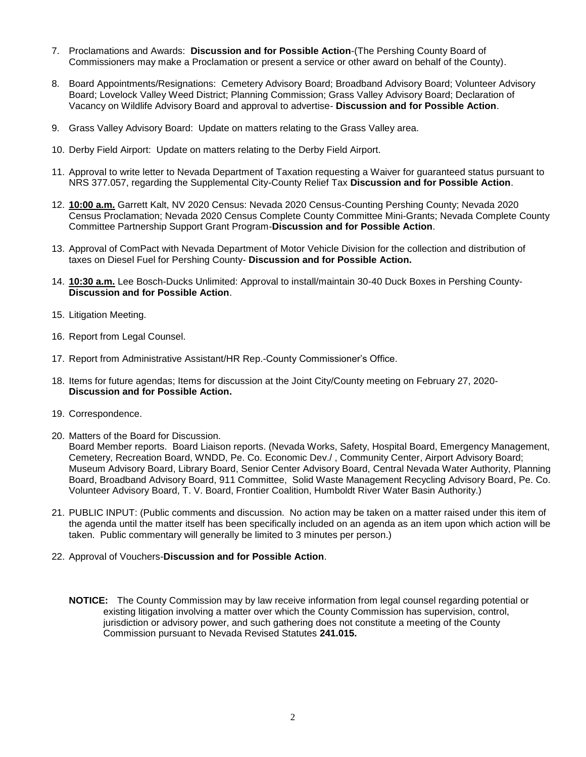- 7. Proclamations and Awards: **Discussion and for Possible Action**-(The Pershing County Board of Commissioners may make a Proclamation or present a service or other award on behalf of the County).
- 8. Board Appointments/Resignations: Cemetery Advisory Board; Broadband Advisory Board; Volunteer Advisory Board; Lovelock Valley Weed District; Planning Commission; Grass Valley Advisory Board; Declaration of Vacancy on Wildlife Advisory Board and approval to advertise- **Discussion and for Possible Action**.
- 9. Grass Valley Advisory Board: Update on matters relating to the Grass Valley area.
- 10. Derby Field Airport: Update on matters relating to the Derby Field Airport.
- 11. Approval to write letter to Nevada Department of Taxation requesting a Waiver for guaranteed status pursuant to NRS 377.057, regarding the Supplemental City-County Relief Tax **Discussion and for Possible Action**.
- 12. **10:00 a.m.** Garrett Kalt, NV 2020 Census: Nevada 2020 Census-Counting Pershing County; Nevada 2020 Census Proclamation; Nevada 2020 Census Complete County Committee Mini-Grants; Nevada Complete County Committee Partnership Support Grant Program-**Discussion and for Possible Action**.
- 13. Approval of ComPact with Nevada Department of Motor Vehicle Division for the collection and distribution of taxes on Diesel Fuel for Pershing County- **Discussion and for Possible Action.**
- 14. **10:30 a.m.** Lee Bosch-Ducks Unlimited: Approval to install/maintain 30-40 Duck Boxes in Pershing County-**Discussion and for Possible Action**.
- 15. Litigation Meeting.
- 16. Report from Legal Counsel.
- 17. Report from Administrative Assistant/HR Rep.-County Commissioner's Office.
- 18. Items for future agendas; Items for discussion at the Joint City/County meeting on February 27, 2020- **Discussion and for Possible Action.**
- 19. Correspondence.
- 20. Matters of the Board for Discussion.

Board Member reports. Board Liaison reports. (Nevada Works, Safety, Hospital Board, Emergency Management, Cemetery, Recreation Board, WNDD, Pe. Co. Economic Dev./ , Community Center, Airport Advisory Board; Museum Advisory Board, Library Board, Senior Center Advisory Board, Central Nevada Water Authority, Planning Board, Broadband Advisory Board, 911 Committee, Solid Waste Management Recycling Advisory Board, Pe. Co. Volunteer Advisory Board, T. V. Board, Frontier Coalition, Humboldt River Water Basin Authority.)

- 21. PUBLIC INPUT: (Public comments and discussion. No action may be taken on a matter raised under this item of the agenda until the matter itself has been specifically included on an agenda as an item upon which action will be taken. Public commentary will generally be limited to 3 minutes per person.)
- 22. Approval of Vouchers-**Discussion and for Possible Action**.
	- **NOTICE:** The County Commission may by law receive information from legal counsel regarding potential or existing litigation involving a matter over which the County Commission has supervision, control, jurisdiction or advisory power, and such gathering does not constitute a meeting of the County Commission pursuant to Nevada Revised Statutes **241.015.**